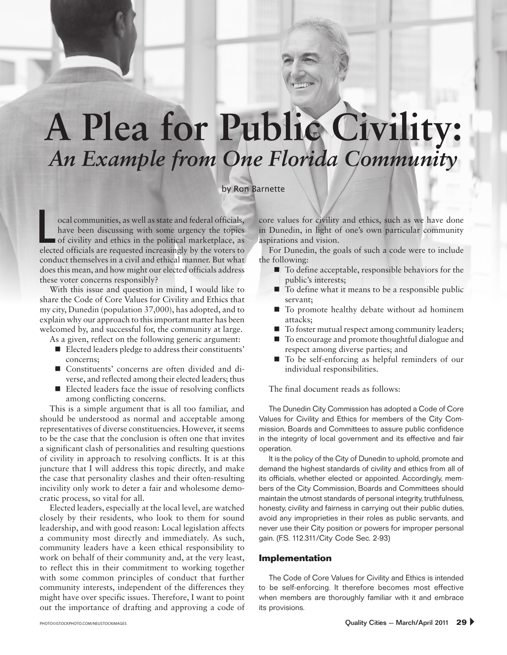# **A Plea for Public Civility:** *An Example from One Florida Community*

#### by Ron Barnette

ocal communities, as well as state and federal officials, have been discussing with some urgency the topics of civility and ethics in the political marketplace, as elected officials are requested increasingly by the voters to elected officials are requested increasingly by the voters to conduct themselves in a civil and ethical manner. But what does this mean, and how might our elected officials address these voter concerns responsibly?

With this issue and question in mind, I would like to share the Code of Core Values for Civility and Ethics that my city, Dunedin (population 37,000), has adopted, and to explain why our approach to this important matter has been welcomed by, and successful for, the community at large.

As a given, reflect on the following generic argument:

- Elected leaders pledge to address their constituents' concerns;
- Constituents' concerns are often divided and diverse, and reflected among their elected leaders; thus
- $\blacksquare$  Elected leaders face the issue of resolving conflicts among conflicting concerns.

This is a simple argument that is all too familiar, and should be understood as normal and acceptable among representatives of diverse constituencies. However, it seems to be the case that the conclusion is often one that invites a significant clash of personalities and resulting questions of civility in approach to resolving conflicts. It is at this juncture that I will address this topic directly, and make the case that personality clashes and their often-resulting incivility only work to deter a fair and wholesome democratic process, so vital for all.

Elected leaders, especially at the local level, are watched closely by their residents, who look to them for sound leadership, and with good reason: Local legislation affects a community most directly and immediately. As such, community leaders have a keen ethical responsibility to work on behalf of their community and, at the very least, to reflect this in their commitment to working together with some common principles of conduct that further community interests, independent of the differences they might have over specific issues. Therefore, I want to point out the importance of drafting and approving a code of core values for civility and ethics, such as we have done in Dunedin, in light of one's own particular community aspirations and vision.

For Dunedin, the goals of such a code were to include the following:

- To define acceptable, responsible behaviors for the public's interests;
- To define what it means to be a responsible public servant;
- To promote healthy debate without ad hominem attacks;
- To foster mutual respect among community leaders;
- To encourage and promote thoughtful dialogue and respect among diverse parties; and
- To be self-enforcing as helpful reminders of our individual responsibilities.

The final document reads as follows:

The Dunedin City Commission has adopted a Code of Core Values for Civility and Ethics for members of the City Commission, Boards and Committees to assure public confidence in the integrity of local government and its effective and fair operation.

It is the policy of the City of Dunedin to uphold, promote and demand the highest standards of civility and ethics from all of its officials, whether elected or appointed. Accordingly, members of the City Commission, Boards and Committees should maintain the utmost standards of personal integrity, truthfulness, honesty, civility and fairness in carrying out their public duties, avoid any improprieties in their roles as public servants, and never use their City position or powers for improper personal gain. (F.S. 112.311/City Code Sec. 2-93)

#### **Implementation**

The Code of Core Values for Civility and Ethics is intended to be self-enforcing. It therefore becomes most effective when members are thoroughly familiar with it and embrace its provisions.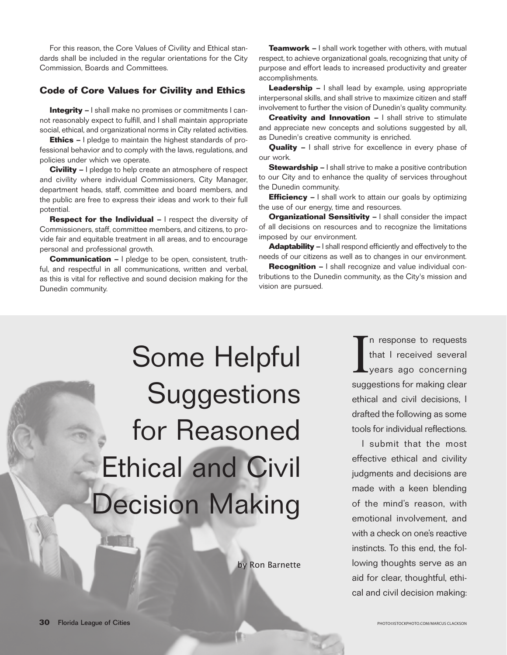For this reason, the Core Values of Civility and Ethical standards shall be included in the regular orientations for the City Commission, Boards and Committees.

# **Code of Core Values for Civility and Ethics**

**Integrity –** I shall make no promises or commitments I cannot reasonably expect to fulfill, and I shall maintain appropriate social, ethical, and organizational norms in City related activities.

**Ethics –** I pledge to maintain the highest standards of professional behavior and to comply with the laws, regulations, and policies under which we operate.

**Civility –** I pledge to help create an atmosphere of respect and civility where individual Commissioners, City Manager, department heads, staff, committee and board members, and the public are free to express their ideas and work to their full potential.

**Respect for the Individual –** I respect the diversity of Commissioners, staff, committee members, and citizens, to provide fair and equitable treatment in all areas, and to encourage personal and professional growth.

**Communication –** I pledge to be open, consistent, truthful, and respectful in all communications, written and verbal, as this is vital for reflective and sound decision making for the Dunedin community.

**Teamwork –** I shall work together with others, with mutual respect, to achieve organizational goals, recognizing that unity of purpose and effort leads to increased productivity and greater accomplishments.

**Leadership –** I shall lead by example, using appropriate interpersonal skills, and shall strive to maximize citizen and staff involvement to further the vision of Dunedin's quality community.

**Creativity and Innovation –** I shall strive to stimulate and appreciate new concepts and solutions suggested by all, as Dunedin's creative community is enriched.

**Quality –** I shall strive for excellence in every phase of our work.

**Stewardship –** I shall strive to make a positive contribution to our City and to enhance the quality of services throughout the Dunedin community.

**Efficiency –** I shall work to attain our goals by optimizing the use of our energy, time and resources.

**Organizational Sensitivity –** I shall consider the impact of all decisions on resources and to recognize the limitations imposed by our environment.

**Adaptability –** I shall respond efficiently and effectively to the needs of our citizens as well as to changes in our environment.

**Recognition –** I shall recognize and value individual contributions to the Dunedin community, as the City's mission and vision are pursued.

Some Helpful **Suggestions** for Reasoned Ethical and Civil Decision Making

by Ron Barnette

I n response to requests that I received several years ago concerning suggestions for making clear ethical and civil decisions, I drafted the following as some tools for individual reflections.

I submit that the most effective ethical and civility judgments and decisions are made with a keen blending of the mind's reason, with emotional involvement, and with a check on one's reactive instincts. To this end, the following thoughts serve as an aid for clear, thoughtful, ethical and civil decision making: